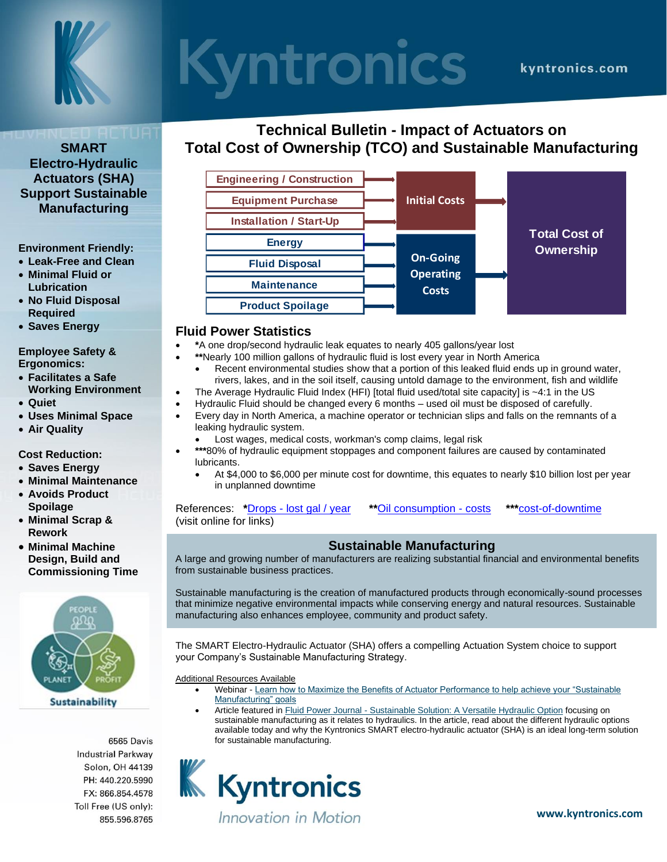

# **Syntronics**

### **SMART Electro-Hydraulic Actuators (SHA) Support Sustainable Manufacturing**

#### **Environment Friendly:**

- **Leak-Free and Clean**
- **Minimal Fluid or Lubrication**
- **No Fluid Disposal Required**
- **Saves Energy**

#### **Employee Safety & Ergonomics:**

- **Facilitates a Safe Working Environment**
- **Quiet**
- **Uses Minimal Space**
- **Air Quality**

**Cost Reduction:**

- **Saves Energy**
- **Minimal Maintenance**
- **Avoids Product Spoilage**
- **Minimal Scrap & Rework**
- **Minimal Machine Design, Build and Commissioning Time**



6565 Davis **Industrial Parkway** Solon, OH 44139 PH: 440.220.5990 FX: 866.854.4578 Toll Free (US only): 855.596.8765

## **Technical Bulletin - Impact of Actuators on Total Cost of Ownership (TCO) and Sustainable Manufacturing**



### **Fluid Power Statistics**

- **\***A one drop/second hydraulic leak equates to nearly 405 gallons/year lost
	- **\*\***Nearly 100 million gallons of hydraulic fluid is lost every year in North America
	- Recent environmental studies show that a portion of this leaked fluid ends up in ground water, rivers, lakes, and in the soil itself, causing untold damage to the environment, fish and wildlife
- The Average Hydraulic Fluid Index (HFI) [total fluid used/total site capacity] is ~4:1 in the US
- Hydraulic Fluid should be changed every 6 months used oil must be disposed of carefully.
- Every day in North America, a machine operator or technician slips and falls on the remnants of a leaking hydraulic system.
	- Lost wages, medical costs, workman's comp claims, legal risk
- **\*\*\***80% of hydraulic equipment stoppages and component failures are caused by contaminated lubricants.
	- At \$4,000 to \$6,000 per minute cost for downtime, this equates to nearly \$10 billion lost per year in unplanned downtime

#### References: **\***Drops - [lost gal / year](https://www.machinerylubrication.com/Read/21/hydraulic-system-leakage) **\*\***[Oil consumption -](https://www.hydraulicsupermarket.com/blog/all/hydraulic-oil-leaks/) costs **\*\*\***[cost-of-downtime](https://www.atlassian.com/incident-management/kpis/cost-of-downtime)  (visit online for links)

### **Sustainable Manufacturing**

A large and growing number of manufacturers are realizing substantial financial and environmental benefits from sustainable business practices.

Sustainable manufacturing is the creation of manufactured products through economically-sound processes that minimize negative environmental impacts while conserving energy and natural resources. Sustainable manufacturing also enhances employee, community and product safety.

The SMART Electro-Hydraulic Actuator (SHA) offers a compelling Actuation System choice to support your Company's Sustainable Manufacturing Strategy.

Additional Resources Available

- Webinar [Learn how to Maximize the Benefits of Actuator Performance to help achieve your "Sustainable](https://www.kyntronics.com/learn-how-to-maximize-the-benefits-of-actuator-performance-to-help-achieve-your-sustainable-manufacturing-goals)  [Manufacturing" goals](https://www.kyntronics.com/learn-how-to-maximize-the-benefits-of-actuator-performance-to-help-achieve-your-sustainable-manufacturing-goals)
- Article featured in Fluid Power Journal [Sustainable Solution: A Versatile Hydraulic Option](https://fluidpowerjournal.com/sustainable-solution-a-versatile-hydraulic-option/) focusing on sustainable manufacturing as it relates to hydraulics. In the article, read about the different hydraulic options available today and why the Kyntronics SMART electro-hydraulic actuator (SHA) is an ideal long-term solution for sustainable manufacturing.



Innovation in Motion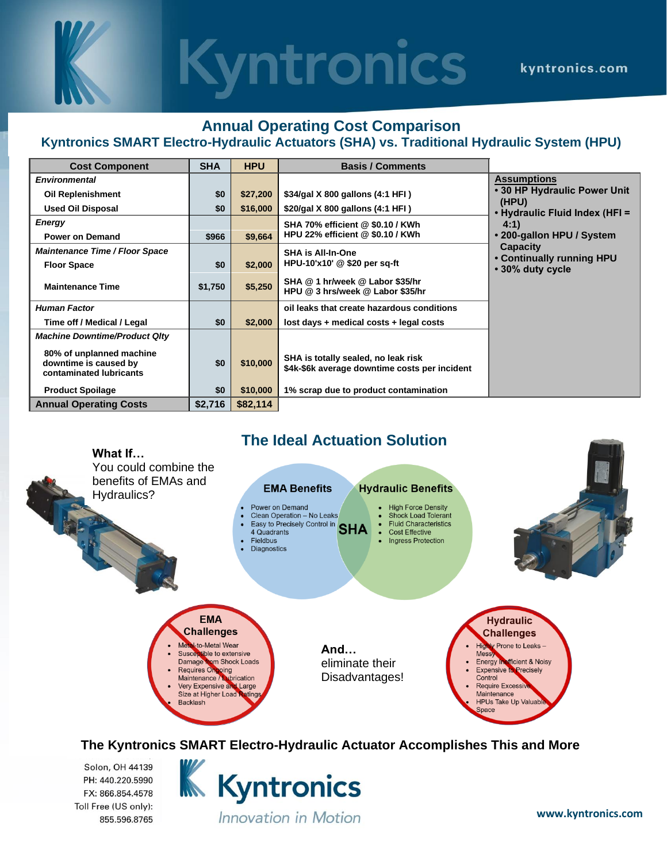# **Kyntronics**

### **Annual Operating Cost Comparison**

### **Kyntronics SMART Electro-Hydraulic Actuators (SHA) vs. Traditional Hydraulic System (HPU)**

| <b>Cost Component</b>                                                        | <b>SHA</b> | <b>HPU</b> | <b>Basis / Comments</b>                                                              |                                               |
|------------------------------------------------------------------------------|------------|------------|--------------------------------------------------------------------------------------|-----------------------------------------------|
| <b>Environmental</b>                                                         |            |            |                                                                                      | <b>Assumptions</b>                            |
| <b>Oil Replenishment</b>                                                     | \$0        | \$27,200   | \$34/gal X 800 gallons (4:1 HFI)                                                     | • 30 HP Hydraulic Power Unit                  |
| <b>Used Oil Disposal</b>                                                     | \$0        | \$16,000   | \$20/gal X 800 gallons (4:1 HFI)                                                     | (HPU)<br>• Hydraulic Fluid Index (HFI =       |
| <b>Energy</b>                                                                |            |            | SHA 70% efficient @ \$0.10 / KWh                                                     | 4:1)                                          |
| <b>Power on Demand</b>                                                       | \$966      | \$9.664    | HPU 22% efficient @ \$0.10 / KWh                                                     | • 200-gallon HPU / System                     |
| <b>Maintenance Time / Floor Space</b>                                        |            |            | <b>SHA is All-In-One</b>                                                             | Capacity                                      |
| <b>Floor Space</b>                                                           | \$0        | \$2,000    | HPU-10'x10' @ \$20 per sq-ft                                                         | • Continually running HPU<br>• 30% duty cycle |
| <b>Maintenance Time</b>                                                      | \$1,750    | \$5,250    | SHA @ 1 hr/week @ Labor \$35/hr<br>HPU @ 3 hrs/week @ Labor \$35/hr                  |                                               |
| <b>Human Factor</b>                                                          |            |            | oil leaks that create hazardous conditions                                           |                                               |
| Time off / Medical / Legal                                                   | \$0        | \$2,000    | lost days + medical costs + legal costs                                              |                                               |
| <b>Machine Downtime/Product Qlty</b>                                         |            |            |                                                                                      |                                               |
| 80% of unplanned machine<br>downtime is caused by<br>contaminated lubricants | \$0        | \$10,000   | SHA is totally sealed, no leak risk<br>\$4k-\$6k average downtime costs per incident |                                               |
| <b>Product Spoilage</b>                                                      | \$0        | \$10,000   | 1% scrap due to product contamination                                                |                                               |
| <b>Annual Operating Costs</b>                                                | \$2,716    | \$82,114   |                                                                                      |                                               |

## **The Ideal Actuation Solution**



**The Kyntronics SMART Electro-Hydraulic Actuator Accomplishes This and More**

Solon, OH 44139 PH: 440.220.5990 FX: 866.854.4578 Toll Free (US only): 855.596.8765 **K** Kyntronics Innovation in Motion

**www.kyntronics.com**